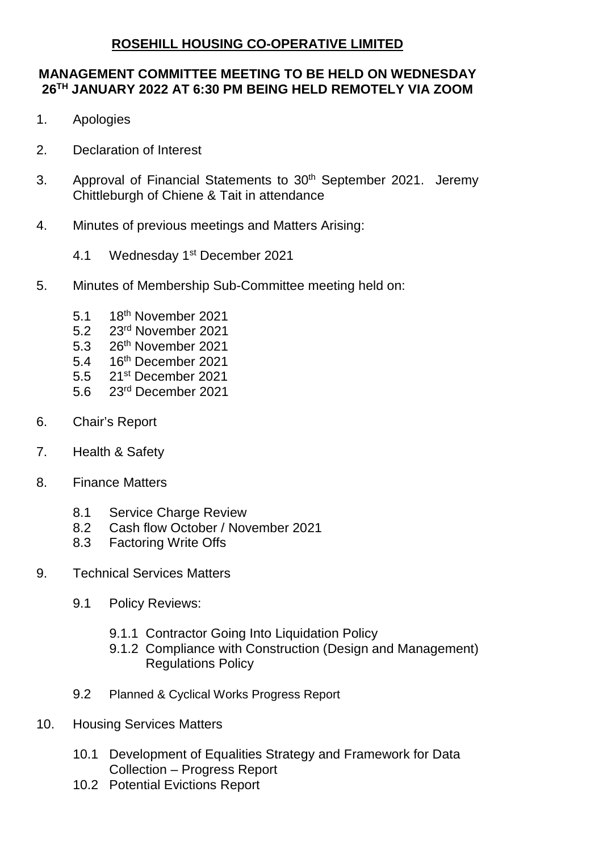## **ROSEHILL HOUSING CO-OPERATIVE LIMITED**

## **MANAGEMENT COMMITTEE MEETING TO BE HELD ON WEDNESDAY 26TH JANUARY 2022 AT 6:30 PM BEING HELD REMOTELY VIA ZOOM**

- 1. Apologies
- 2. Declaration of Interest
- 3. Approval of Financial Statements to 30<sup>th</sup> September 2021. Jeremy Chittleburgh of Chiene & Tait in attendance
- 4. Minutes of previous meetings and Matters Arising:
	- 4.1 Wednesday 1st December 2021
- 5. Minutes of Membership Sub-Committee meeting held on:
	- 5.1 18th November 2021
	- 5.2 23rd November 2021
	- 5.3 26<sup>th</sup> November 2021
	- 5.4 16th December 2021
	- 5.5 21st December 2021
	- 5.6 23rd December 2021
- 6. Chair's Report
- 7. Health & Safety
- 8. Finance Matters
	- 8.1 Service Charge Review
	- 8.2 Cash flow October / November 2021
	- 8.3 Factoring Write Offs
- 9. Technical Services Matters
	- 9.1 Policy Reviews:
		- 9.1.1 Contractor Going Into Liquidation Policy
		- 9.1.2 Compliance with Construction (Design and Management) Regulations Policy
	- 9.2 Planned & Cyclical Works Progress Report
- 10. Housing Services Matters
	- 10.1 Development of Equalities Strategy and Framework for Data Collection – Progress Report
	- 10.2 Potential Evictions Report